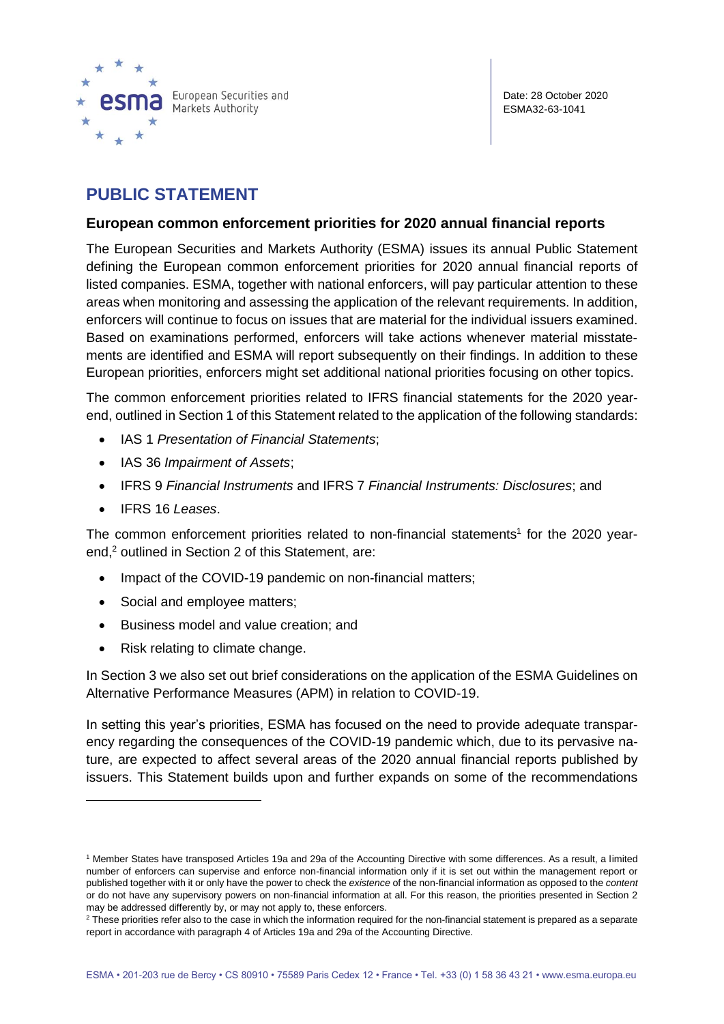

# **PUBLIC STATEMENT**

### **European common enforcement priorities for 2020 annual financial reports**

The European Securities and Markets Authority (ESMA) issues its annual Public Statement defining the European common enforcement priorities for 2020 annual financial reports of listed companies. ESMA, together with national enforcers, will pay particular attention to these areas when monitoring and assessing the application of the relevant requirements. In addition, enforcers will continue to focus on issues that are material for the individual issuers examined. Based on examinations performed, enforcers will take actions whenever material misstatements are identified and ESMA will report subsequently on their findings. In addition to these European priorities, enforcers might set additional national priorities focusing on other topics.

The common enforcement priorities related to IFRS financial statements for the 2020 yearend, outlined in Section 1 of this Statement related to the application of the following standards:

- IAS 1 *Presentation of Financial Statements*;
- IAS 36 *Impairment of Assets*;
- IFRS 9 *Financial Instruments* and IFRS 7 *Financial Instruments: Disclosures*; and
- IFRS 16 *Leases*.

The common enforcement priorities related to non-financial statements<sup>1</sup> for the 2020 yearend, <sup>2</sup> outlined in Section 2 of this Statement, are:

- Impact of the COVID-19 pandemic on non-financial matters;
- Social and employee matters;
- Business model and value creation; and
- Risk relating to climate change.

In Section 3 we also set out brief considerations on the application of the ESMA Guidelines on Alternative Performance Measures (APM) in relation to COVID-19.

In setting this year's priorities, ESMA has focused on the need to provide adequate transparency regarding the consequences of the COVID-19 pandemic which, due to its pervasive nature, are expected to affect several areas of the 2020 annual financial reports published by issuers. This Statement builds upon and further expands on some of the recommendations

<sup>1</sup> Member States have transposed Articles 19a and 29a of the Accounting Directive with some differences. As a result, a limited number of enforcers can supervise and enforce non-financial information only if it is set out within the management report or published together with it or only have the power to check the *existence* of the non-financial information as opposed to the *content* or do not have any supervisory powers on non-financial information at all. For this reason, the priorities presented in Section 2 may be addressed differently by, or may not apply to, these enforcers.

<sup>&</sup>lt;sup>2</sup> These priorities refer also to the case in which the information required for the non-financial statement is prepared as a separate report in accordance with paragraph 4 of Articles 19a and 29a of the Accounting Directive.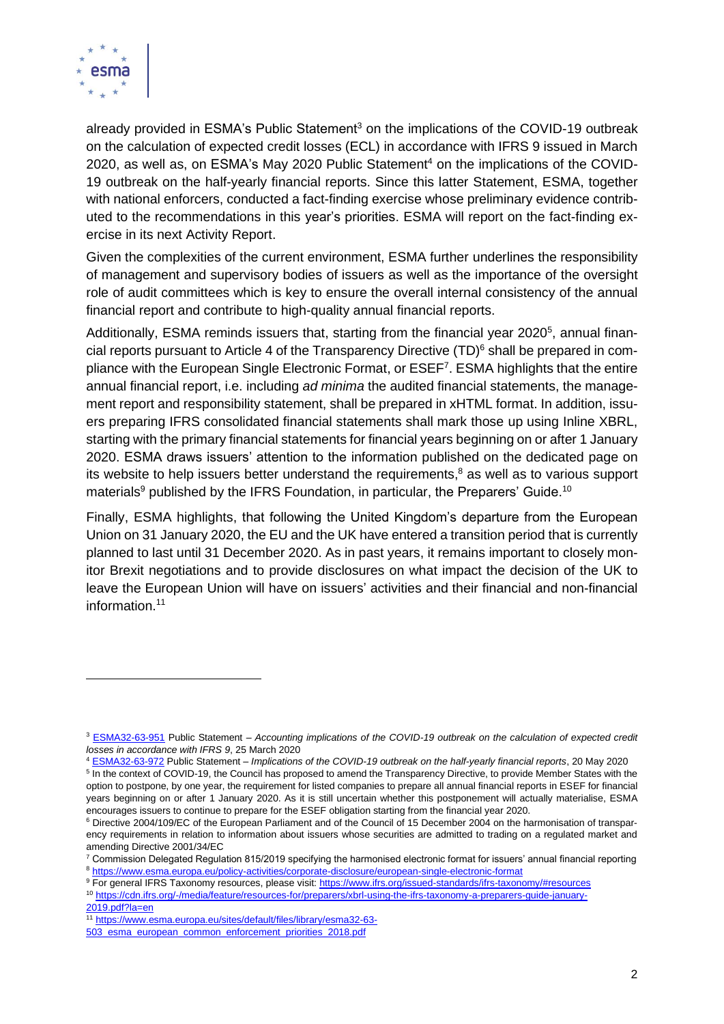

already provided in ESMA's Public Statement<sup>3</sup> on the implications of the COVID-19 outbreak on the calculation of expected credit losses (ECL) in accordance with IFRS 9 issued in March 2020, as well as, on ESMA's May 2020 Public Statement<sup>4</sup> on the implications of the COVID-19 outbreak on the half-yearly financial reports. Since this latter Statement, ESMA, together with national enforcers, conducted a fact-finding exercise whose preliminary evidence contributed to the recommendations in this year's priorities. ESMA will report on the fact-finding exercise in its next Activity Report.

Given the complexities of the current environment, ESMA further underlines the responsibility of management and supervisory bodies of issuers as well as the importance of the oversight role of audit committees which is key to ensure the overall internal consistency of the annual financial report and contribute to high-quality annual financial reports.

Additionally, ESMA reminds issuers that, starting from the financial year 2020<sup>5</sup>, annual financial reports pursuant to Article 4 of the Transparency Directive (TD)<sup>6</sup> shall be prepared in compliance with the European Single Electronic Format, or ESEF<sup>7</sup>. ESMA highlights that the entire annual financial report, i.e. including *ad minima* the audited financial statements, the management report and responsibility statement, shall be prepared in xHTML format. In addition, issuers preparing IFRS consolidated financial statements shall mark those up using Inline XBRL, starting with the primary financial statements for financial years beginning on or after 1 January 2020. ESMA draws issuers' attention to the information published on the dedicated page on its website to help issuers better understand the requirements, <sup>8</sup> as well as to various support materials<sup>9</sup> published by the IFRS Foundation, in particular, the Preparers' Guide.<sup>10</sup>

Finally, ESMA highlights, that following the United Kingdom's departure from the European Union on 31 January 2020, the EU and the UK have entered a transition period that is currently planned to last until 31 December 2020. As in past years, it remains important to closely monitor Brexit negotiations and to provide disclosures on what impact the decision of the UK to leave the European Union will have on issuers' activities and their financial and non-financial information. 11

<sup>3</sup> [ESMA32-63-951](https://www.esma.europa.eu/sites/default/files/library/esma32-63-951_statement_on_ifrs_9_implications_of_covid-19_related_support_measures.pdf) Public Statement – *Accounting implications of the COVID-19 outbreak on the calculation of expected credit losses in accordance with IFRS 9*, 25 March 2020

<sup>4</sup> [ESMA32-63-972](https://www.esma.europa.eu/file/55620/download?token=Niz-gJQv) Public Statement – *Implications of the COVID-19 outbreak on the half-yearly financial reports*, 20 May 2020 <sup>5</sup> In the context of COVID-19, the Council has proposed to amend the Transparency Directive, to provide Member States with the option to postpone, by one year, the requirement for listed companies to prepare all annual financial reports in ESEF for financial

years beginning on or after 1 January 2020. As it is still uncertain whether this postponement will actually materialise, ESMA encourages issuers to continue to prepare for the ESEF obligation starting from the financial year 2020.

<sup>6</sup> Directive 2004/109/EC of the European Parliament and of the Council of 15 December 2004 on the harmonisation of transparency requirements in relation to information about issuers whose securities are admitted to trading on a regulated market and amending Directive 2001/34/EC

 $7$  Commission Delegated Regulation 815/2019 specifying the harmonised electronic format for issuers' annual financial reporting <sup>8</sup> <https://www.esma.europa.eu/policy-activities/corporate-disclosure/european-single-electronic-format>

<sup>9</sup> For general IFRS Taxonomy resources, please visit[: https://www.ifrs.org/issued-standards/ifrs-taxonomy/#resources](https://www.ifrs.org/issued-standards/ifrs-taxonomy/#resources)

<sup>10</sup> [https://cdn.ifrs.org/-/media/feature/resources-for/preparers/xbrl-using-the-ifrs-taxonomy-a-preparers-guide-january-](https://cdn.ifrs.org/-/media/feature/resources-for/preparers/xbrl-using-the-ifrs-taxonomy-a-preparers-guide-january-2019.pdf?la=en)[2019.pdf?la=en](https://cdn.ifrs.org/-/media/feature/resources-for/preparers/xbrl-using-the-ifrs-taxonomy-a-preparers-guide-january-2019.pdf?la=en)

<sup>11</sup> [https://www.esma.europa.eu/sites/default/files/library/esma32-63-](https://www.esma.europa.eu/sites/default/files/library/esma32-63-503_esma_european_common_enforcement_priorities_2018.pdf)

[<sup>503</sup>\\_esma\\_european\\_common\\_enforcement\\_priorities\\_2018.pdf](https://www.esma.europa.eu/sites/default/files/library/esma32-63-503_esma_european_common_enforcement_priorities_2018.pdf)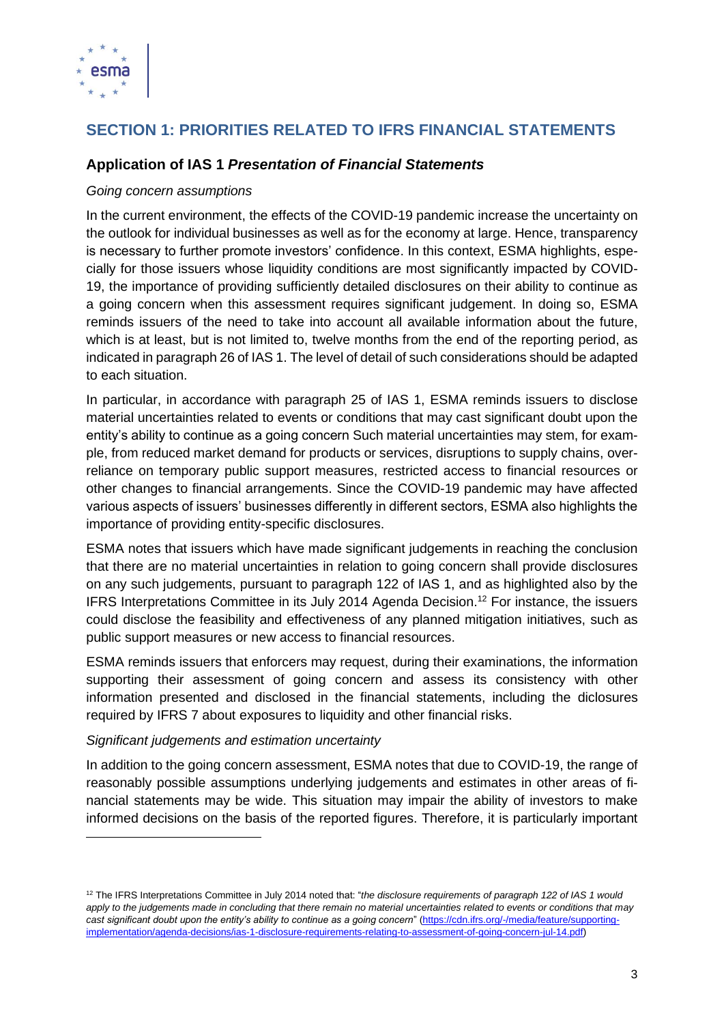

# **SECTION 1: PRIORITIES RELATED TO IFRS FINANCIAL STATEMENTS**

## **Application of IAS 1** *Presentation of Financial Statements*

#### *Going concern assumptions*

In the current environment, the effects of the COVID-19 pandemic increase the uncertainty on the outlook for individual businesses as well as for the economy at large. Hence, transparency is necessary to further promote investors' confidence. In this context, ESMA highlights, especially for those issuers whose liquidity conditions are most significantly impacted by COVID-19, the importance of providing sufficiently detailed disclosures on their ability to continue as a going concern when this assessment requires significant judgement. In doing so, ESMA reminds issuers of the need to take into account all available information about the future, which is at least, but is not limited to, twelve months from the end of the reporting period, as indicated in paragraph 26 of IAS 1. The level of detail of such considerations should be adapted to each situation.

In particular, in accordance with paragraph 25 of IAS 1, ESMA reminds issuers to disclose material uncertainties related to events or conditions that may cast significant doubt upon the entity's ability to continue as a going concern Such material uncertainties may stem, for example, from reduced market demand for products or services, disruptions to supply chains, overreliance on temporary public support measures, restricted access to financial resources or other changes to financial arrangements. Since the COVID-19 pandemic may have affected various aspects of issuers' businesses differently in different sectors, ESMA also highlights the importance of providing entity-specific disclosures.

ESMA notes that issuers which have made significant judgements in reaching the conclusion that there are no material uncertainties in relation to going concern shall provide disclosures on any such judgements, pursuant to paragraph 122 of IAS 1, and as highlighted also by the IFRS Interpretations Committee in its July 2014 Agenda Decision. <sup>12</sup> For instance, the issuers could disclose the feasibility and effectiveness of any planned mitigation initiatives, such as public support measures or new access to financial resources.

ESMA reminds issuers that enforcers may request, during their examinations, the information supporting their assessment of going concern and assess its consistency with other information presented and disclosed in the financial statements, including the diclosures required by IFRS 7 about exposures to liquidity and other financial risks.

#### *Significant judgements and estimation uncertainty*

In addition to the going concern assessment, ESMA notes that due to COVID-19, the range of reasonably possible assumptions underlying judgements and estimates in other areas of financial statements may be wide. This situation may impair the ability of investors to make informed decisions on the basis of the reported figures. Therefore, it is particularly important

<sup>&</sup>lt;sup>12</sup> The IFRS Interpretations Committee in July 2014 noted that: "*the disclosure requirements of paragraph 122 of IAS 1 would* apply to the judgements made in concluding that there remain no material uncertainties related to events or conditions that may *cast significant doubt upon the entity's ability to continue as a going concern*" [\(https://cdn.ifrs.org/-/media/feature/supporting](https://cdn.ifrs.org/-/media/feature/supporting-implementation/agenda-decisions/ias-1-disclosure-requirements-relating-to-assessment-of-going-concern-jul-14.pdf)[implementation/agenda-decisions/ias-1-disclosure-requirements-relating-to-assessment-of-going-concern-jul-14.pdf\)](https://cdn.ifrs.org/-/media/feature/supporting-implementation/agenda-decisions/ias-1-disclosure-requirements-relating-to-assessment-of-going-concern-jul-14.pdf)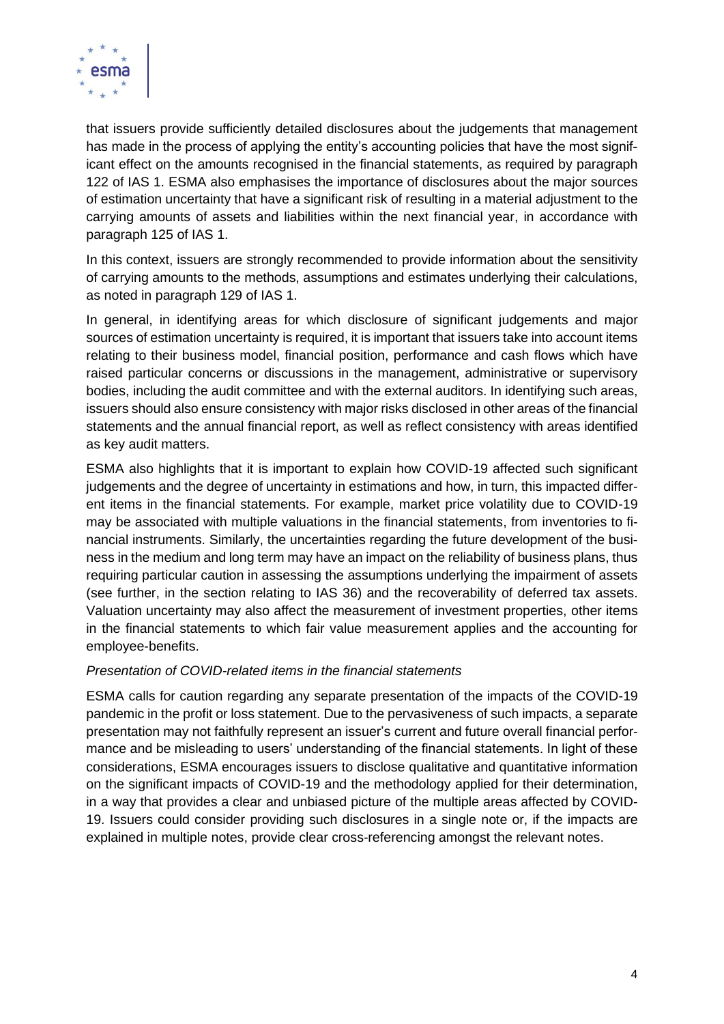

that issuers provide sufficiently detailed disclosures about the judgements that management has made in the process of applying the entity's accounting policies that have the most significant effect on the amounts recognised in the financial statements, as required by paragraph 122 of IAS 1. ESMA also emphasises the importance of disclosures about the major sources of estimation uncertainty that have a significant risk of resulting in a material adjustment to the carrying amounts of assets and liabilities within the next financial year, in accordance with paragraph 125 of IAS 1.

In this context, issuers are strongly recommended to provide information about the sensitivity of carrying amounts to the methods, assumptions and estimates underlying their calculations, as noted in paragraph 129 of IAS 1.

In general, in identifying areas for which disclosure of significant judgements and major sources of estimation uncertainty is required, it is important that issuers take into account items relating to their business model, financial position, performance and cash flows which have raised particular concerns or discussions in the management, administrative or supervisory bodies, including the audit committee and with the external auditors. In identifying such areas, issuers should also ensure consistency with major risks disclosed in other areas of the financial statements and the annual financial report, as well as reflect consistency with areas identified as key audit matters.

ESMA also highlights that it is important to explain how COVID-19 affected such significant judgements and the degree of uncertainty in estimations and how, in turn, this impacted different items in the financial statements. For example, market price volatility due to COVID-19 may be associated with multiple valuations in the financial statements, from inventories to financial instruments. Similarly, the uncertainties regarding the future development of the business in the medium and long term may have an impact on the reliability of business plans, thus requiring particular caution in assessing the assumptions underlying the impairment of assets (see further, in the section relating to IAS 36) and the recoverability of deferred tax assets. Valuation uncertainty may also affect the measurement of investment properties, other items in the financial statements to which fair value measurement applies and the accounting for employee-benefits.

#### *Presentation of COVID-related items in the financial statements*

ESMA calls for caution regarding any separate presentation of the impacts of the COVID-19 pandemic in the profit or loss statement. Due to the pervasiveness of such impacts, a separate presentation may not faithfully represent an issuer's current and future overall financial performance and be misleading to users' understanding of the financial statements. In light of these considerations, ESMA encourages issuers to disclose qualitative and quantitative information on the significant impacts of COVID-19 and the methodology applied for their determination, in a way that provides a clear and unbiased picture of the multiple areas affected by COVID-19. Issuers could consider providing such disclosures in a single note or, if the impacts are explained in multiple notes, provide clear cross-referencing amongst the relevant notes.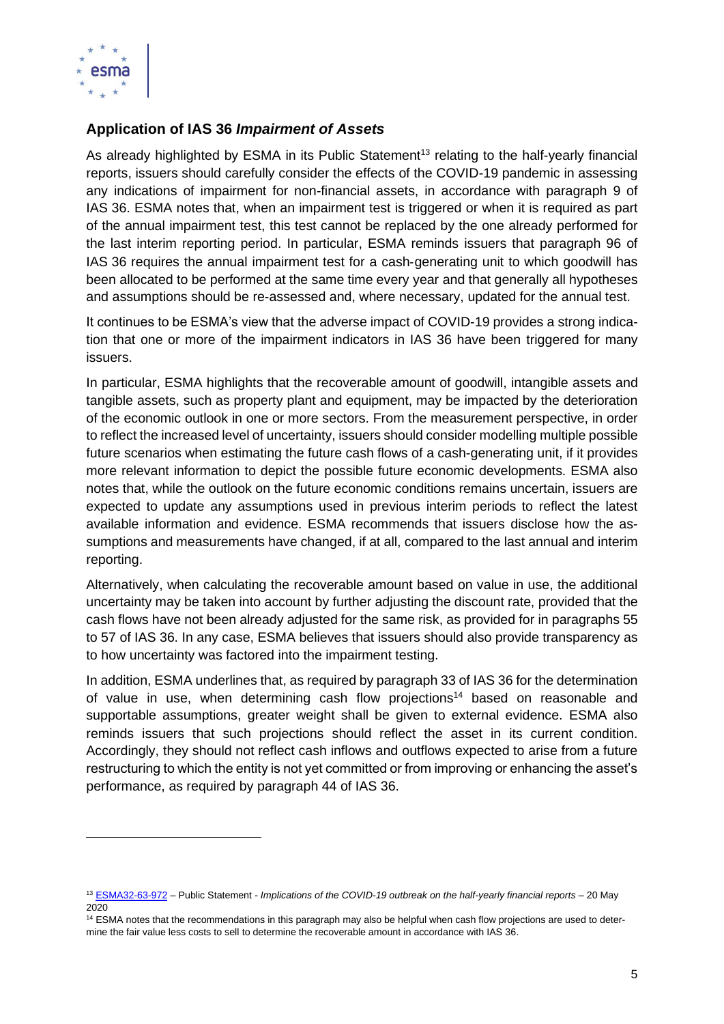

## **Application of IAS 36** *Impairment of Assets*

As already highlighted by ESMA in its Public Statement<sup>13</sup> relating to the half-yearly financial reports, issuers should carefully consider the effects of the COVID-19 pandemic in assessing any indications of impairment for non-financial assets, in accordance with paragraph 9 of IAS 36. ESMA notes that, when an impairment test is triggered or when it is required as part of the annual impairment test, this test cannot be replaced by the one already performed for the last interim reporting period. In particular, ESMA reminds issuers that paragraph 96 of IAS 36 requires the annual impairment test for a cash‑generating unit to which goodwill has been allocated to be performed at the same time every year and that generally all hypotheses and assumptions should be re-assessed and, where necessary, updated for the annual test.

It continues to be ESMA's view that the adverse impact of COVID-19 provides a strong indication that one or more of the impairment indicators in IAS 36 have been triggered for many issuers.

In particular, ESMA highlights that the recoverable amount of goodwill, intangible assets and tangible assets, such as property plant and equipment, may be impacted by the deterioration of the economic outlook in one or more sectors. From the measurement perspective, in order to reflect the increased level of uncertainty, issuers should consider modelling multiple possible future scenarios when estimating the future cash flows of a cash-generating unit, if it provides more relevant information to depict the possible future economic developments. ESMA also notes that, while the outlook on the future economic conditions remains uncertain, issuers are expected to update any assumptions used in previous interim periods to reflect the latest available information and evidence. ESMA recommends that issuers disclose how the assumptions and measurements have changed, if at all, compared to the last annual and interim reporting.

Alternatively, when calculating the recoverable amount based on value in use, the additional uncertainty may be taken into account by further adjusting the discount rate, provided that the cash flows have not been already adjusted for the same risk, as provided for in paragraphs 55 to 57 of IAS 36. In any case, ESMA believes that issuers should also provide transparency as to how uncertainty was factored into the impairment testing.

In addition, ESMA underlines that, as required by paragraph 33 of IAS 36 for the determination of value in use, when determining cash flow projections<sup>14</sup> based on reasonable and supportable assumptions, greater weight shall be given to external evidence. ESMA also reminds issuers that such projections should reflect the asset in its current condition. Accordingly, they should not reflect cash inflows and outflows expected to arise from a future restructuring to which the entity is not yet committed or from improving or enhancing the asset's performance, as required by paragraph 44 of IAS 36.

<sup>13</sup> [ESMA32-63-972](https://www.esma.europa.eu/sites/default/files/library/esma32-63-972_public_statement_on_half-yearly_financial_reports_in_relation_to_covid-19.pdf) – Public Statement - *Implications of the COVID-19 outbreak on the half-yearly financial reports* – 20 May 2020

<sup>14</sup> ESMA notes that the recommendations in this paragraph may also be helpful when cash flow projections are used to determine the fair value less costs to sell to determine the recoverable amount in accordance with IAS 36.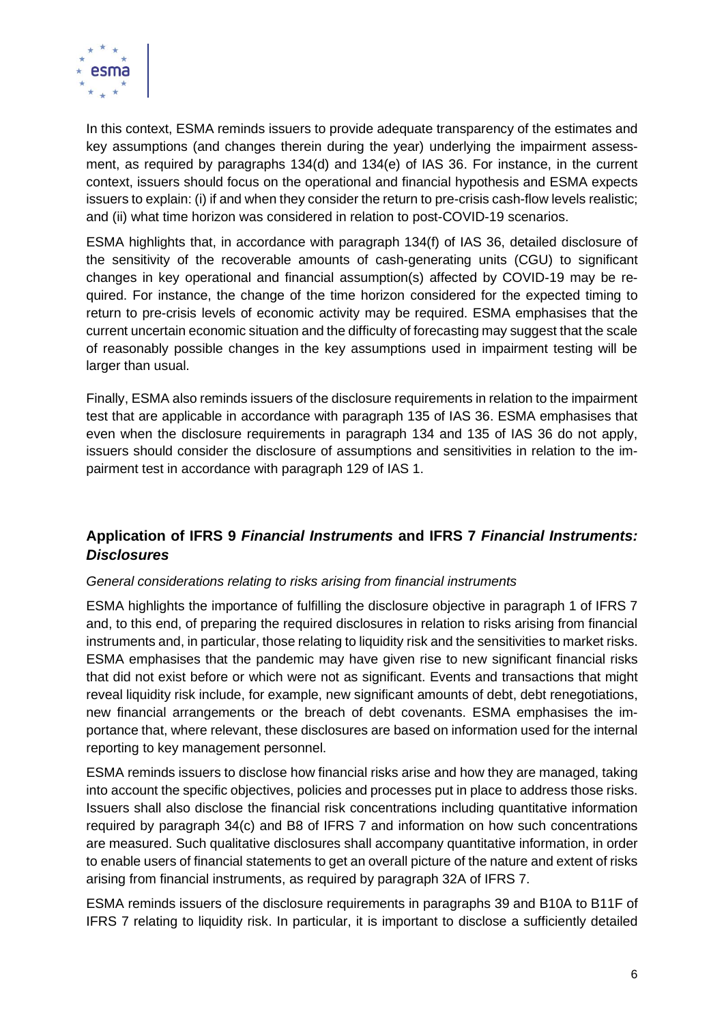

In this context, ESMA reminds issuers to provide adequate transparency of the estimates and key assumptions (and changes therein during the year) underlying the impairment assessment, as required by paragraphs 134(d) and 134(e) of IAS 36. For instance, in the current context, issuers should focus on the operational and financial hypothesis and ESMA expects issuers to explain: (i) if and when they consider the return to pre-crisis cash-flow levels realistic; and (ii) what time horizon was considered in relation to post-COVID-19 scenarios.

ESMA highlights that, in accordance with paragraph 134(f) of IAS 36, detailed disclosure of the sensitivity of the recoverable amounts of cash-generating units (CGU) to significant changes in key operational and financial assumption(s) affected by COVID-19 may be required. For instance, the change of the time horizon considered for the expected timing to return to pre-crisis levels of economic activity may be required. ESMA emphasises that the current uncertain economic situation and the difficulty of forecasting may suggest that the scale of reasonably possible changes in the key assumptions used in impairment testing will be larger than usual.

Finally, ESMA also reminds issuers of the disclosure requirements in relation to the impairment test that are applicable in accordance with paragraph 135 of IAS 36. ESMA emphasises that even when the disclosure requirements in paragraph 134 and 135 of IAS 36 do not apply, issuers should consider the disclosure of assumptions and sensitivities in relation to the impairment test in accordance with paragraph 129 of IAS 1.

# **Application of IFRS 9** *Financial Instruments* **and IFRS 7** *Financial Instruments: Disclosures*

## *General considerations relating to risks arising from financial instruments*

ESMA highlights the importance of fulfilling the disclosure objective in paragraph 1 of IFRS 7 and, to this end, of preparing the required disclosures in relation to risks arising from financial instruments and, in particular, those relating to liquidity risk and the sensitivities to market risks. ESMA emphasises that the pandemic may have given rise to new significant financial risks that did not exist before or which were not as significant. Events and transactions that might reveal liquidity risk include, for example, new significant amounts of debt, debt renegotiations, new financial arrangements or the breach of debt covenants. ESMA emphasises the importance that, where relevant, these disclosures are based on information used for the internal reporting to key management personnel.

ESMA reminds issuers to disclose how financial risks arise and how they are managed, taking into account the specific objectives, policies and processes put in place to address those risks. Issuers shall also disclose the financial risk concentrations including quantitative information required by paragraph 34(c) and B8 of IFRS 7 and information on how such concentrations are measured. Such qualitative disclosures shall accompany quantitative information, in order to enable users of financial statements to get an overall picture of the nature and extent of risks arising from [financial instruments,](http://eifrs.ifrs.org/eifrs/ViewContent?collection=2020_Annotated_Issued_Standards&fn=IAS32_TI.html&scrollTo=IAS32_11__IAS32_P0110) as required by paragraph 32A of IFRS 7.

ESMA reminds issuers of the disclosure requirements in paragraphs 39 and B10A to B11F of IFRS 7 relating to liquidity risk. In particular, it is important to disclose a sufficiently detailed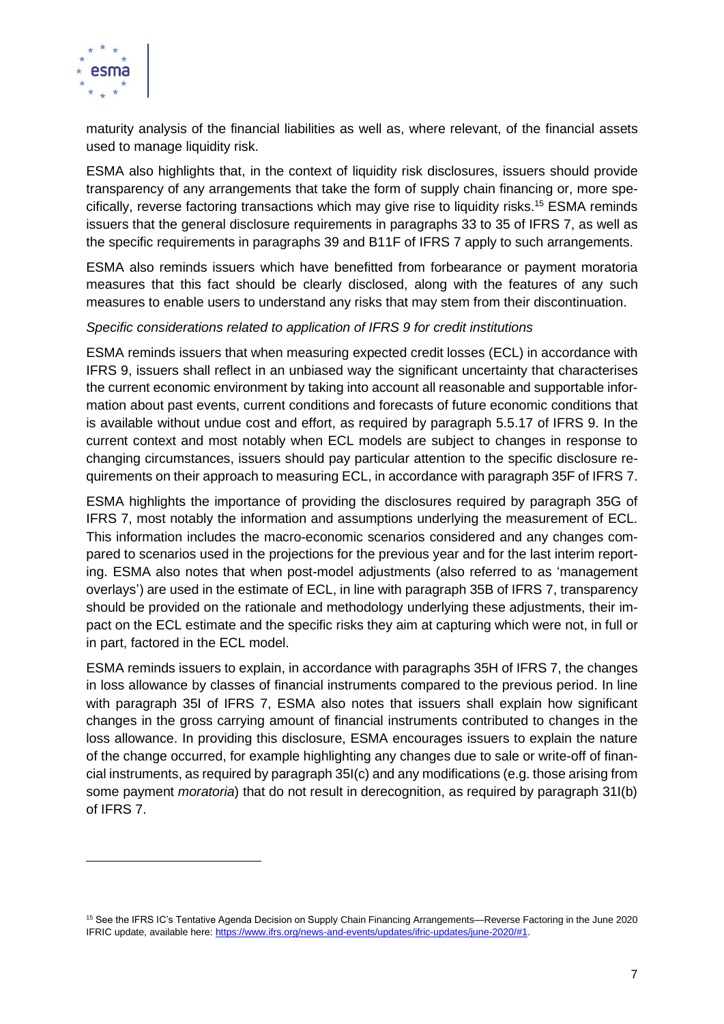

maturity analysis of the financial liabilities as well as, where relevant, of the financial assets used to manage liquidity risk.

ESMA also highlights that, in the context of liquidity risk disclosures, issuers should provide transparency of any arrangements that take the form of supply chain financing or, more specifically, reverse factoring transactions which may give rise to liquidity risks. <sup>15</sup> ESMA reminds issuers that the general disclosure requirements in paragraphs 33 to 35 of IFRS 7, as well as the specific requirements in paragraphs 39 and B11F of IFRS 7 apply to such arrangements.

ESMA also reminds issuers which have benefitted from forbearance or payment moratoria measures that this fact should be clearly disclosed, along with the features of any such measures to enable users to understand any risks that may stem from their discontinuation.

#### *Specific considerations related to application of IFRS 9 for credit institutions*

ESMA reminds issuers that when measuring expected credit losses (ECL) in accordance with IFRS 9, issuers shall reflect in an unbiased way the significant uncertainty that characterises the current economic environment by taking into account all reasonable and supportable information about past events, current conditions and forecasts of future economic conditions that is available without undue cost and effort, as required by paragraph 5.5.17 of IFRS 9. In the current context and most notably when ECL models are subject to changes in response to changing circumstances, issuers should pay particular attention to the specific disclosure requirements on their approach to measuring ECL, in accordance with paragraph 35F of IFRS 7.

ESMA highlights the importance of providing the disclosures required by paragraph 35G of IFRS 7, most notably the information and assumptions underlying the measurement of ECL. This information includes the macro-economic scenarios considered and any changes compared to scenarios used in the projections for the previous year and for the last interim reporting. ESMA also notes that when post-model adjustments (also referred to as 'management overlays') are used in the estimate of ECL, in line with paragraph 35B of IFRS 7, transparency should be provided on the rationale and methodology underlying these adjustments, their impact on the ECL estimate and the specific risks they aim at capturing which were not, in full or in part, factored in the ECL model.

ESMA reminds issuers to explain, in accordance with paragraphs 35H of IFRS 7, the changes in loss allowance by classes of financial instruments compared to the previous period. In line with paragraph 35I of IFRS 7, ESMA also notes that issuers shall explain how significant changes in the gross carrying amount of financial instruments contributed to changes in the loss allowance. In providing this disclosure, ESMA encourages issuers to explain the nature of the change occurred, for example highlighting any changes due to sale or write-off of financial instruments, as required by paragraph 35I(c) and any modifications (e.g. those arising from some payment *moratoria*) that do not result in derecognition, as required by paragraph 31I(b) of IFRS 7.

<sup>15</sup> See the IFRS IC's Tentative Agenda Decision on Supply Chain Financing Arrangements—Reverse Factoring in the June 2020 IFRIC update, available here: [https://www.ifrs.org/news-and-events/updates/ifric-updates/june-2020/#1.](https://www.ifrs.org/news-and-events/updates/ifric-updates/june-2020/#1)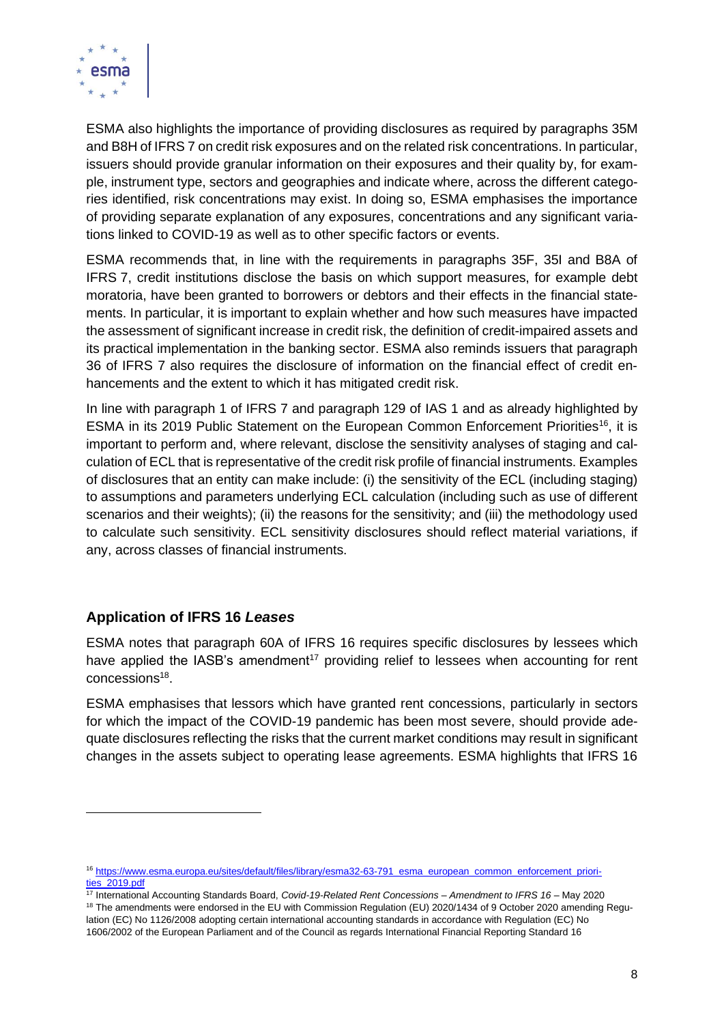

ESMA also highlights the importance of providing disclosures as required by paragraphs 35M and B8H of IFRS 7 on credit risk exposures and on the related risk concentrations. In particular, issuers should provide granular information on their exposures and their quality by, for example, instrument type, sectors and geographies and indicate where, across the different categories identified, risk concentrations may exist. In doing so, ESMA emphasises the importance of providing separate explanation of any exposures, concentrations and any significant variations linked to COVID-19 as well as to other specific factors or events.

ESMA recommends that, in line with the requirements in paragraphs 35F, 35I and B8A of IFRS 7, credit institutions disclose the basis on which support measures, for example debt moratoria, have been granted to borrowers or debtors and their effects in the financial statements. In particular, it is important to explain whether and how such measures have impacted the assessment of significant increase in credit risk, the definition of credit-impaired assets and its practical implementation in the banking sector. ESMA also reminds issuers that paragraph 36 of IFRS 7 also requires the disclosure of information on the financial effect of credit enhancements and the extent to which it has mitigated credit risk.

In line with paragraph 1 of IFRS 7 and paragraph 129 of IAS 1 and as already highlighted by ESMA in its 2019 Public Statement on the European Common Enforcement Priorities<sup>16</sup>, it is important to perform and, where relevant, disclose the sensitivity analyses of staging and calculation of ECL that is representative of the credit risk profile of financial instruments. Examples of disclosures that an entity can make include: (i) the sensitivity of the ECL (including staging) to assumptions and parameters underlying ECL calculation (including such as use of different scenarios and their weights); (ii) the reasons for the sensitivity; and (iii) the methodology used to calculate such sensitivity. ECL sensitivity disclosures should reflect material variations, if any, across classes of financial instruments.

## **Application of IFRS 16** *Leases*

ESMA notes that paragraph 60A of IFRS 16 requires specific disclosures by lessees which have applied the IASB's amendment<sup>17</sup> providing relief to lessees when accounting for rent  $\,$  concessions $^{18}$ .

ESMA emphasises that lessors which have granted rent concessions, particularly in sectors for which the impact of the COVID-19 pandemic has been most severe, should provide adequate disclosures reflecting the risks that the current market conditions may result in significant changes in the assets subject to operating lease agreements. ESMA highlights that IFRS 16

<sup>&</sup>lt;sup>16</sup> [https://www.esma.europa.eu/sites/default/files/library/esma32-63-791\\_esma\\_european\\_common\\_enforcement\\_priori](https://www.esma.europa.eu/sites/default/files/library/esma32-63-791_esma_european_common_enforcement_priorities_2019.pdf)[ties\\_2019.pdf](https://www.esma.europa.eu/sites/default/files/library/esma32-63-791_esma_european_common_enforcement_priorities_2019.pdf)

<sup>17</sup> International Accounting Standards Board, *Covid-19-Related Rent Concessions – Amendment to IFRS 16* – May 2020 <sup>18</sup> The amendments were endorsed in the EU with Commission Regulation (EU) 2020/1434 of 9 October 2020 amending Regulation (EC) No 1126/2008 adopting certain international accounting standards in accordance with Regulation (EC) No 1606/2002 of the European Parliament and of the Council as regards International Financial Reporting Standard 16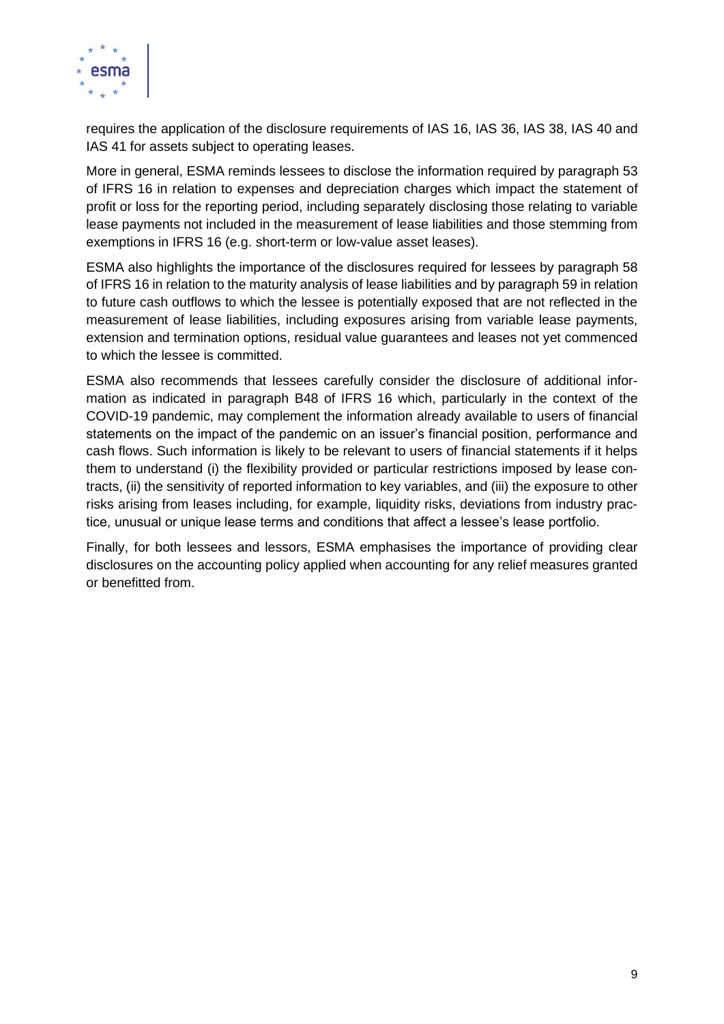

requires the application of the disclosure requirements of IAS 16, IAS 36, IAS 38, IAS 40 and IAS 41 for assets subject to operating leases.

More in general, ESMA reminds lessees to disclose the information required by paragraph 53 of IFRS 16 in relation to expenses and depreciation charges which impact the statement of profit or loss for the reporting period, including separately disclosing those relating to variable lease payments not included in the measurement of lease liabilities and those stemming from exemptions in IFRS 16 (e.g. short-term or low-value asset leases).

ESMA also highlights the importance of the disclosures required for lessees by paragraph 58 of IFRS 16 in relation to the maturity analysis of lease liabilities and by paragraph 59 in relation to future cash outflows to which the lessee is potentially exposed that are not reflected in the measurement of lease liabilities, including exposures arising from variable lease payments, extension and termination options, residual value guarantees and leases not yet commenced to which the lessee is committed.

ESMA also recommends that lessees carefully consider the disclosure of additional information as indicated in paragraph B48 of IFRS 16 which, particularly in the context of the COVID-19 pandemic, may complement the information already available to users of financial statements on the impact of the pandemic on an issuer's financial position, performance and cash flows. Such information is likely to be relevant to users of financial statements if it helps them to understand (i) the flexibility provided or particular restrictions imposed by lease contracts, (ii) the sensitivity of reported information to key variables, and (iii) the exposure to other risks arising from leases including, for example, liquidity risks, deviations from industry practice, unusual or unique lease terms and conditions that affect a lessee's lease portfolio.

Finally, for both lessees and lessors, ESMA emphasises the importance of providing clear disclosures on the accounting policy applied when accounting for any relief measures granted or benefitted from.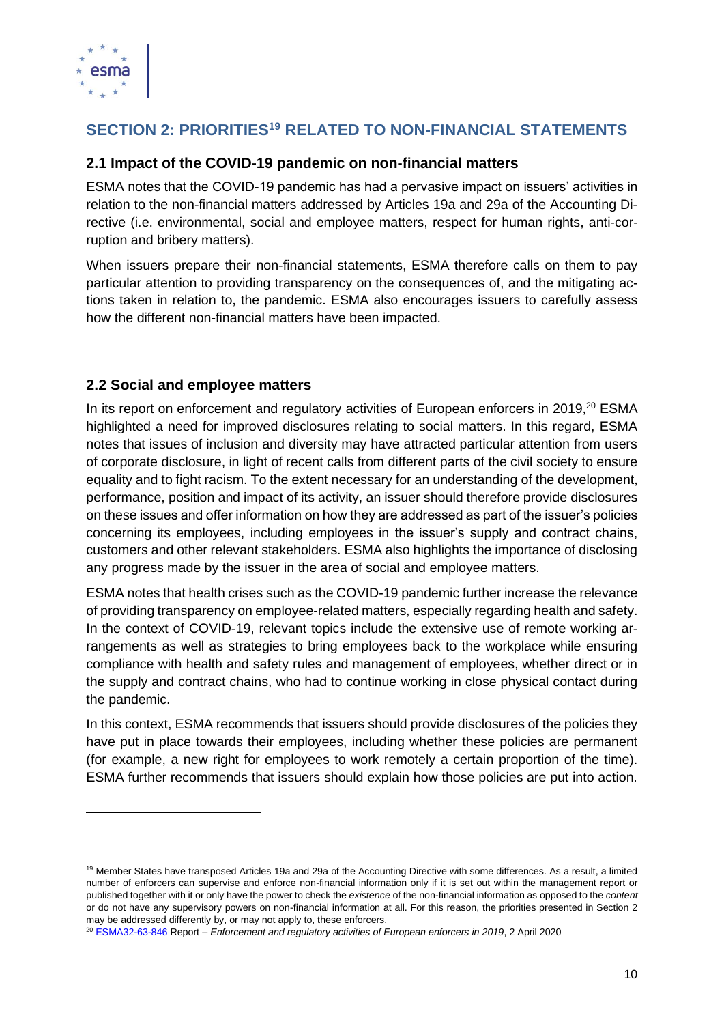

# **SECTION 2: PRIORITIES<sup>19</sup> RELATED TO NON-FINANCIAL STATEMENTS**

## **2.1 Impact of the COVID-19 pandemic on non-financial matters**

ESMA notes that the COVID-19 pandemic has had a pervasive impact on issuers' activities in relation to the non-financial matters addressed by Articles 19a and 29a of the Accounting Directive (i.e. environmental, social and employee matters, respect for human rights, anti-corruption and bribery matters).

When issuers prepare their non-financial statements, ESMA therefore calls on them to pay particular attention to providing transparency on the consequences of, and the mitigating actions taken in relation to, the pandemic. ESMA also encourages issuers to carefully assess how the different non-financial matters have been impacted.

## **2.2 Social and employee matters**

In its report on enforcement and regulatory activities of European enforcers in 2019.<sup>20</sup> ESMA highlighted a need for improved disclosures relating to social matters. In this regard, ESMA notes that issues of inclusion and diversity may have attracted particular attention from users of corporate disclosure, in light of recent calls from different parts of the civil society to ensure equality and to fight racism. To the extent necessary for an understanding of the development, performance, position and impact of its activity, an issuer should therefore provide disclosures on these issues and offer information on how they are addressed as part of the issuer's policies concerning its employees, including employees in the issuer's supply and contract chains, customers and other relevant stakeholders. ESMA also highlights the importance of disclosing any progress made by the issuer in the area of social and employee matters.

ESMA notes that health crises such as the COVID-19 pandemic further increase the relevance of providing transparency on employee-related matters, especially regarding health and safety. In the context of COVID-19, relevant topics include the extensive use of remote working arrangements as well as strategies to bring employees back to the workplace while ensuring compliance with health and safety rules and management of employees, whether direct or in the supply and contract chains, who had to continue working in close physical contact during the pandemic.

In this context, ESMA recommends that issuers should provide disclosures of the policies they have put in place towards their employees, including whether these policies are permanent (for example, a new right for employees to work remotely a certain proportion of the time). ESMA further recommends that issuers should explain how those policies are put into action.

<sup>&</sup>lt;sup>19</sup> Member States have transposed Articles 19a and 29a of the Accounting Directive with some differences. As a result, a limited number of enforcers can supervise and enforce non-financial information only if it is set out within the management report or published together with it or only have the power to check the *existence* of the non-financial information as opposed to the *content* or do not have any supervisory powers on non-financial information at all. For this reason, the priorities presented in Section 2 may be addressed differently by, or may not apply to, these enforcers.

<sup>20</sup> [ESMA32-63-846](https://www.esma.europa.eu/sites/default/files/library/esma32-63-846_2019_activity_report.pdf) Report – *Enforcement and regulatory activities of European enforcers in 2019*, 2 April 2020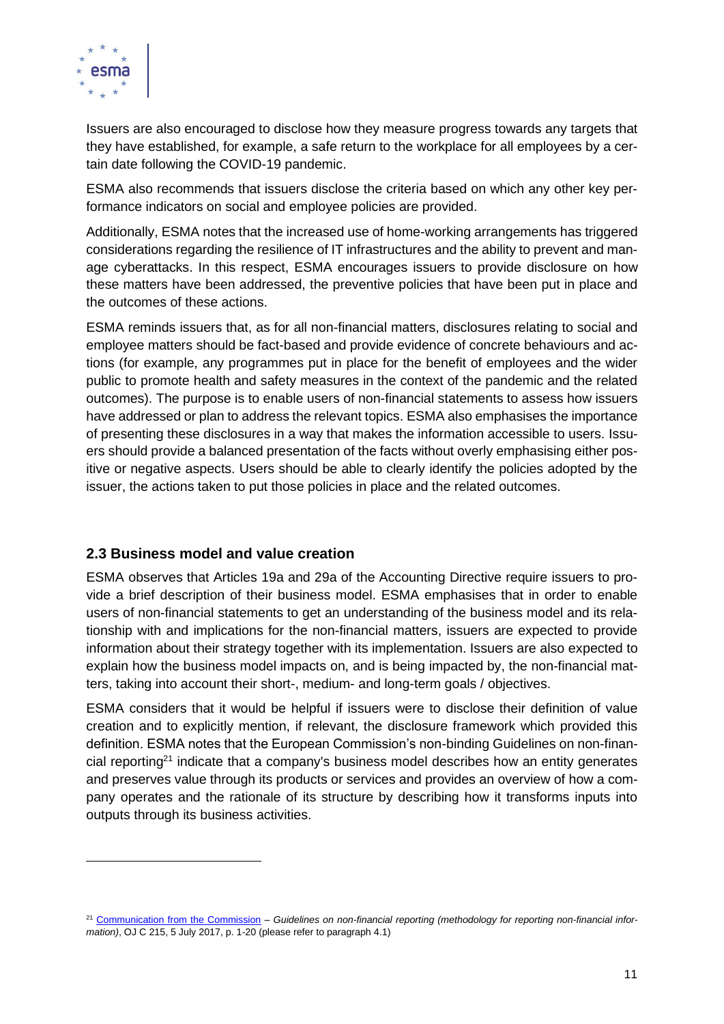

Issuers are also encouraged to disclose how they measure progress towards any targets that they have established, for example, a safe return to the workplace for all employees by a certain date following the COVID-19 pandemic.

ESMA also recommends that issuers disclose the criteria based on which any other key performance indicators on social and employee policies are provided.

Additionally, ESMA notes that the increased use of home-working arrangements has triggered considerations regarding the resilience of IT infrastructures and the ability to prevent and manage cyberattacks. In this respect, ESMA encourages issuers to provide disclosure on how these matters have been addressed, the preventive policies that have been put in place and the outcomes of these actions.

ESMA reminds issuers that, as for all non-financial matters, disclosures relating to social and employee matters should be fact-based and provide evidence of concrete behaviours and actions (for example, any programmes put in place for the benefit of employees and the wider public to promote health and safety measures in the context of the pandemic and the related outcomes). The purpose is to enable users of non-financial statements to assess how issuers have addressed or plan to address the relevant topics. ESMA also emphasises the importance of presenting these disclosures in a way that makes the information accessible to users. Issuers should provide a balanced presentation of the facts without overly emphasising either positive or negative aspects. Users should be able to clearly identify the policies adopted by the issuer, the actions taken to put those policies in place and the related outcomes.

## **2.3 Business model and value creation**

ESMA observes that Articles 19a and 29a of the Accounting Directive require issuers to provide a brief description of their business model. ESMA emphasises that in order to enable users of non-financial statements to get an understanding of the business model and its relationship with and implications for the non-financial matters, issuers are expected to provide information about their strategy together with its implementation. Issuers are also expected to explain how the business model impacts on, and is being impacted by, the non-financial matters, taking into account their short-, medium- and long-term goals / objectives.

ESMA considers that it would be helpful if issuers were to disclose their definition of value creation and to explicitly mention, if relevant, the disclosure framework which provided this definition. ESMA notes that the European Commission's non-binding Guidelines on non-financial reporting<sup>21</sup> indicate that a company's business model describes how an entity generates and preserves value through its products or services and provides an overview of how a company operates and the rationale of its structure by describing how it transforms inputs into outputs through its business activities.

<sup>&</sup>lt;sup>21</sup> [Communication from the Commission](https://eur-lex.europa.eu/legal-content/EN/TXT/PDF/?uri=CELEX:52017XC0705(01)&from=EN) – Guidelines on non-financial reporting (methodology for reporting non-financial infor*mation)*, OJ C 215, 5 July 2017, p. 1-20 (please refer to paragraph 4.1)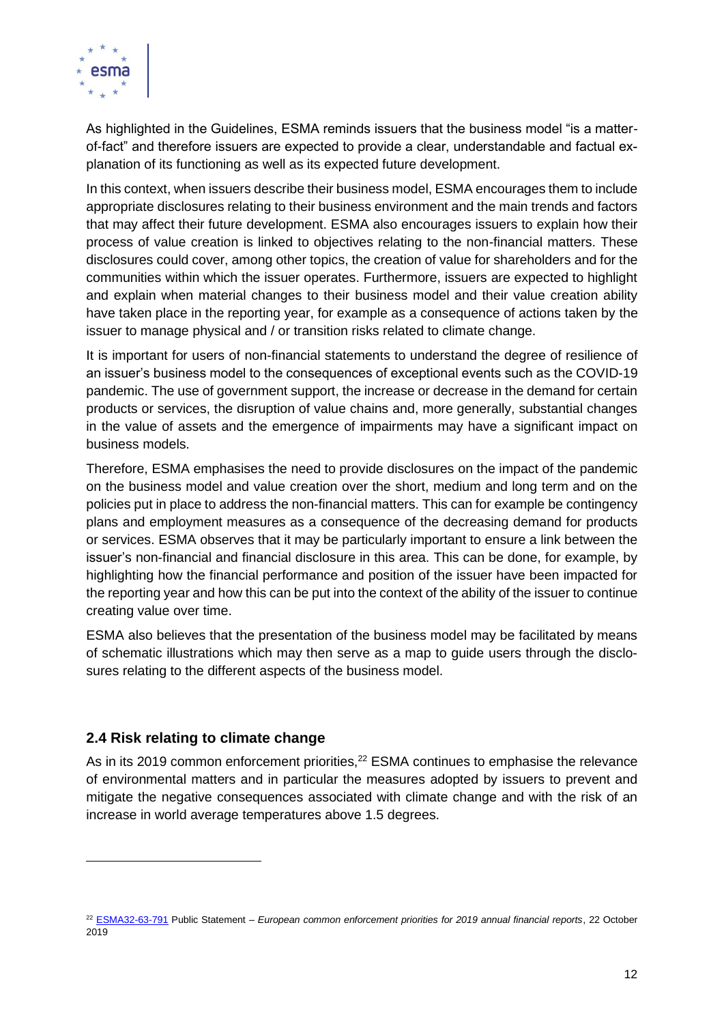

As highlighted in the Guidelines, ESMA reminds issuers that the business model "is a matterof-fact" and therefore issuers are expected to provide a clear, understandable and factual explanation of its functioning as well as its expected future development.

In this context, when issuers describe their business model, ESMA encourages them to include appropriate disclosures relating to their business environment and the main trends and factors that may affect their future development. ESMA also encourages issuers to explain how their process of value creation is linked to objectives relating to the non-financial matters. These disclosures could cover, among other topics, the creation of value for shareholders and for the communities within which the issuer operates. Furthermore, issuers are expected to highlight and explain when material changes to their business model and their value creation ability have taken place in the reporting year, for example as a consequence of actions taken by the issuer to manage physical and / or transition risks related to climate change.

It is important for users of non-financial statements to understand the degree of resilience of an issuer's business model to the consequences of exceptional events such as the COVID-19 pandemic. The use of government support, the increase or decrease in the demand for certain products or services, the disruption of value chains and, more generally, substantial changes in the value of assets and the emergence of impairments may have a significant impact on business models.

Therefore, ESMA emphasises the need to provide disclosures on the impact of the pandemic on the business model and value creation over the short, medium and long term and on the policies put in place to address the non-financial matters. This can for example be contingency plans and employment measures as a consequence of the decreasing demand for products or services. ESMA observes that it may be particularly important to ensure a link between the issuer's non-financial and financial disclosure in this area. This can be done, for example, by highlighting how the financial performance and position of the issuer have been impacted for the reporting year and how this can be put into the context of the ability of the issuer to continue creating value over time.

ESMA also believes that the presentation of the business model may be facilitated by means of schematic illustrations which may then serve as a map to guide users through the disclosures relating to the different aspects of the business model.

## **2.4 Risk relating to climate change**

As in its 2019 common enforcement priorities,<sup>22</sup> ESMA continues to emphasise the relevance of environmental matters and in particular the measures adopted by issuers to prevent and mitigate the negative consequences associated with climate change and with the risk of an increase in world average temperatures above 1.5 degrees.

<sup>22</sup> [ESMA32-63-791](https://www.esma.europa.eu/sites/default/files/library/esma32-63-791_esma_european_common_enforcement_priorities_2019.pdf) Public Statement – *European common enforcement priorities for 2019 annual financial reports*, 22 October 2019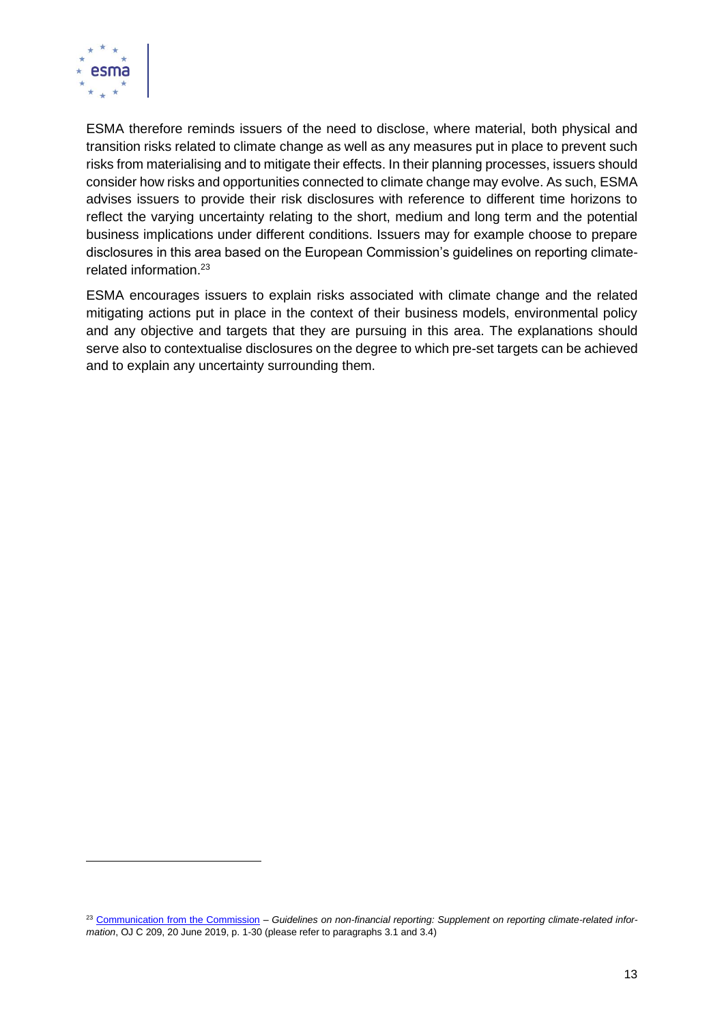

ESMA therefore reminds issuers of the need to disclose, where material, both physical and transition risks related to climate change as well as any measures put in place to prevent such risks from materialising and to mitigate their effects. In their planning processes, issuers should consider how risks and opportunities connected to climate change may evolve. As such, ESMA advises issuers to provide their risk disclosures with reference to different time horizons to reflect the varying uncertainty relating to the short, medium and long term and the potential business implications under different conditions. Issuers may for example choose to prepare disclosures in this area based on the European Commission's guidelines on reporting climaterelated information.<sup>23</sup>

ESMA encourages issuers to explain risks associated with climate change and the related mitigating actions put in place in the context of their business models, environmental policy and any objective and targets that they are pursuing in this area. The explanations should serve also to contextualise disclosures on the degree to which pre-set targets can be achieved and to explain any uncertainty surrounding them.

<sup>23</sup> [Communication from the Commission](https://eur-lex.europa.eu/legal-content/EN/TXT/PDF/?uri=CELEX:52019XC0620(01)&from=EN) – *Guidelines on non-financial reporting: Supplement on reporting climate-related information*, OJ C 209, 20 June 2019, p. 1-30 (please refer to paragraphs 3.1 and 3.4)